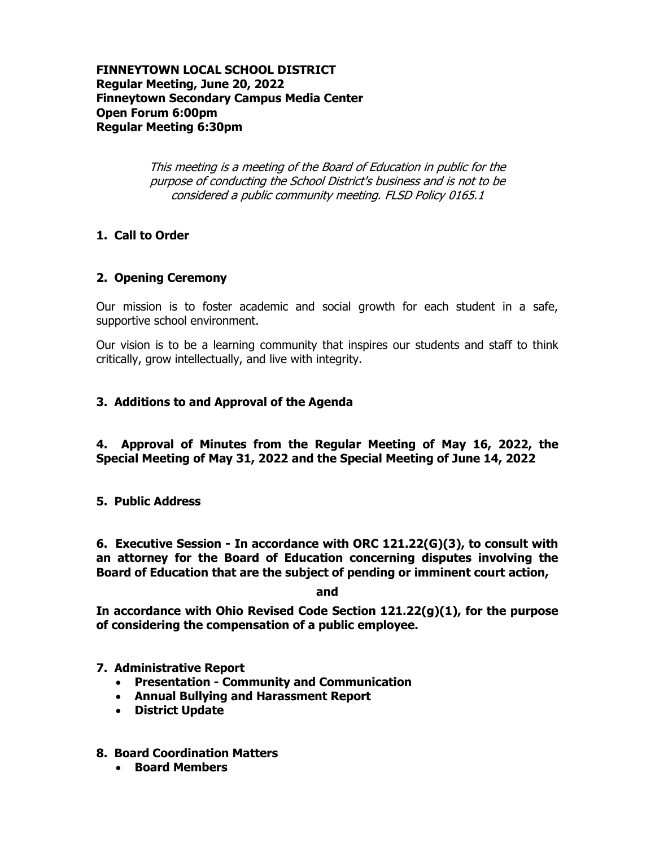#### **FINNEYTOWN LOCAL SCHOOL DISTRICT Regular Meeting, June 20, 2022 Finneytown Secondary Campus Media Center Open Forum 6:00pm Regular Meeting 6:30pm**

This meeting is a meeting of the Board of Education in public for the purpose of conducting the School District's business and is not to be considered a public community meeting. FLSD Policy 0165.1

## **1. Call to Order**

#### **2. Opening Ceremony**

Our mission is to foster academic and social growth for each student in a safe, supportive school environment.

Our vision is to be a learning community that inspires our students and staff to think critically, grow intellectually, and live with integrity.

#### **3. Additions to and Approval of the Agenda**

**4. Approval of Minutes from the Regular Meeting of May 16, 2022, the Special Meeting of May 31, 2022 and the Special Meeting of June 14, 2022**

#### **5. Public Address**

**6. Executive Session - In accordance with ORC 121.22(G)(3), to consult with an attorney for the Board of Education concerning disputes involving the Board of Education that are the subject of pending or imminent court action,**

**and**

**In accordance with Ohio Revised Code Section 121.22(g)(1), for the purpose of considering the compensation of a public employee.**

**7. Administrative Report**

- **Presentation - Community and Communication**
- **Annual Bullying and Harassment Report**
- **District Update**
- **8. Board Coordination Matters**
	- **Board Members**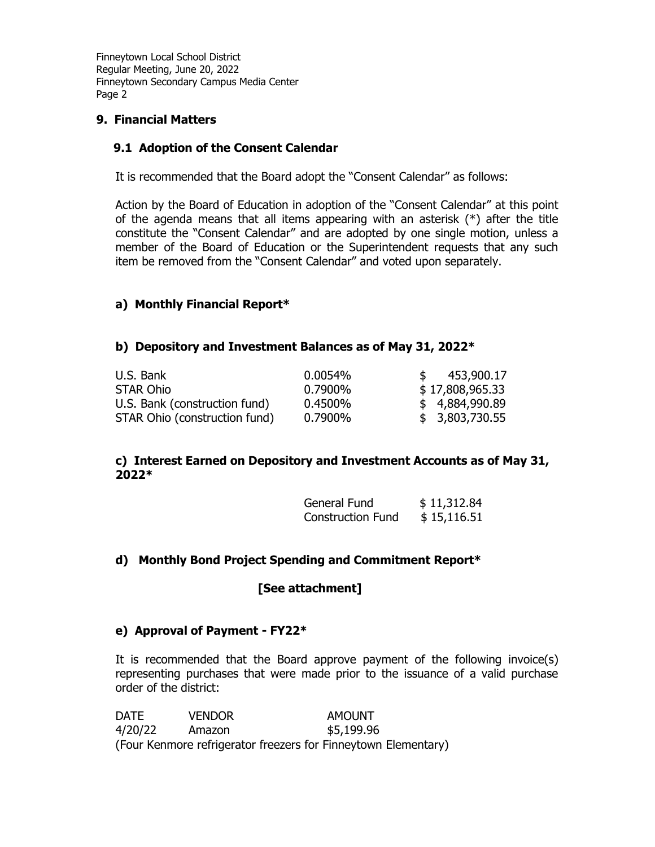#### **9. Financial Matters**

#### **9.1 Adoption of the Consent Calendar**

It is recommended that the Board adopt the "Consent Calendar" as follows:

Action by the Board of Education in adoption of the "Consent Calendar" at this point of the agenda means that all items appearing with an asterisk  $(*)$  after the title constitute the "Consent Calendar" and are adopted by one single motion, unless a member of the Board of Education or the Superintendent requests that any such item be removed from the "Consent Calendar" and voted upon separately.

#### **a) Monthly Financial Report\***

#### **b) Depository and Investment Balances as of May 31, 2022\***

| U.S. Bank                     | 0.0054% | 453,900.17      |
|-------------------------------|---------|-----------------|
| <b>STAR Ohio</b>              | 0.7900% | \$17,808,965.33 |
| U.S. Bank (construction fund) | 0.4500% | \$4,884,990.89  |
| STAR Ohio (construction fund) | 0.7900% | \$3,803,730.55  |

#### **c) Interest Earned on Depository and Investment Accounts as of May 31, 2022\***

| General Fund             | \$11,312.84 |
|--------------------------|-------------|
| <b>Construction Fund</b> | \$15,116.51 |

#### **d) Monthly Bond Project Spending and Commitment Report\***

**[See attachment]**

#### **e) Approval of Payment - FY22\***

It is recommended that the Board approve payment of the following invoice(s) representing purchases that were made prior to the issuance of a valid purchase order of the district:

DATE VENDOR AMOUNT 4/20/22 Amazon \$5,199.96 (Four Kenmore refrigerator freezers for Finneytown Elementary)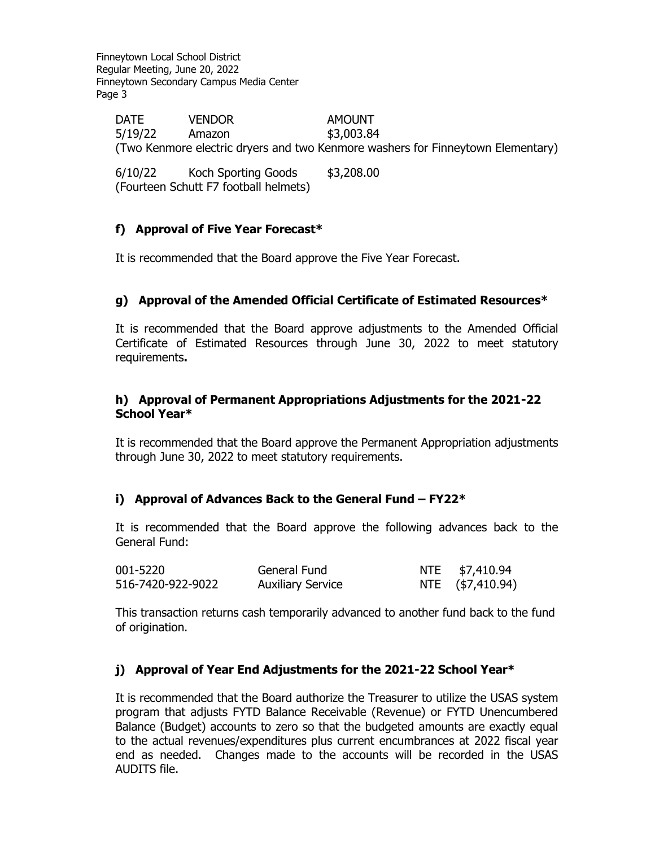DATE VENDOR AMOUNT 5/19/22 Amazon \$3,003.84 (Two Kenmore electric dryers and two Kenmore washers for Finneytown Elementary)

6/10/22 Koch Sporting Goods \$3,208.00 (Fourteen Schutt F7 football helmets)

# **f) Approval of Five Year Forecast\***

It is recommended that the Board approve the Five Year Forecast.

## **g) Approval of the Amended Official Certificate of Estimated Resources\***

It is recommended that the Board approve adjustments to the Amended Official Certificate of Estimated Resources through June 30, 2022 to meet statutory requirements**.**

#### **h) Approval of Permanent Appropriations Adjustments for the 2021-22 School Year\***

It is recommended that the Board approve the Permanent Appropriation adjustments through June 30, 2022 to meet statutory requirements.

## **i) Approval of Advances Back to the General Fund – FY22\***

It is recommended that the Board approve the following advances back to the General Fund:

| 001-5220          | General Fund             | NTE \$7,410.94   |
|-------------------|--------------------------|------------------|
| 516-7420-922-9022 | <b>Auxiliary Service</b> | NTE (\$7,410.94) |

This transaction returns cash temporarily advanced to another fund back to the fund of origination.

## **j) Approval of Year End Adjustments for the 2021-22 School Year\***

It is recommended that the Board authorize the Treasurer to utilize the USAS system program that adjusts FYTD Balance Receivable (Revenue) or FYTD Unencumbered Balance (Budget) accounts to zero so that the budgeted amounts are exactly equal to the actual revenues/expenditures plus current encumbrances at 2022 fiscal year end as needed. Changes made to the accounts will be recorded in the USAS AUDITS file.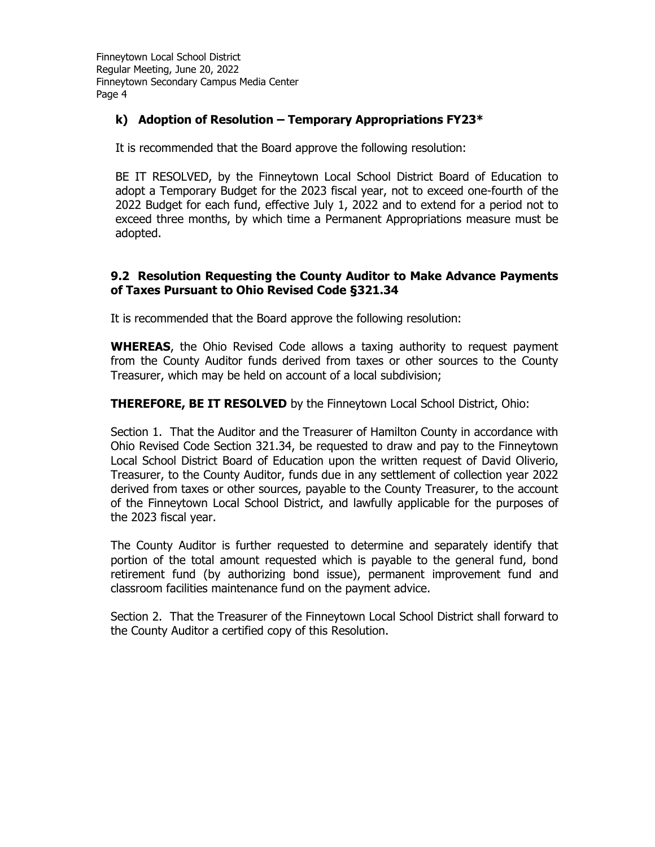## **k) Adoption of Resolution – Temporary Appropriations FY23\***

It is recommended that the Board approve the following resolution:

BE IT RESOLVED, by the Finneytown Local School District Board of Education to adopt a Temporary Budget for the 2023 fiscal year, not to exceed one-fourth of the 2022 Budget for each fund, effective July 1, 2022 and to extend for a period not to exceed three months, by which time a Permanent Appropriations measure must be adopted.

#### **9.2 Resolution Requesting the County Auditor to Make Advance Payments of Taxes Pursuant to Ohio Revised Code §321.34**

It is recommended that the Board approve the following resolution:

**WHEREAS**, the Ohio Revised Code allows a taxing authority to request payment from the County Auditor funds derived from taxes or other sources to the County Treasurer, which may be held on account of a local subdivision;

**THEREFORE, BE IT RESOLVED** by the Finneytown Local School District, Ohio:

Section 1. That the Auditor and the Treasurer of Hamilton County in accordance with Ohio Revised Code Section 321.34, be requested to draw and pay to the Finneytown Local School District Board of Education upon the written request of David Oliverio, Treasurer, to the County Auditor, funds due in any settlement of collection year 2022 derived from taxes or other sources, payable to the County Treasurer, to the account of the Finneytown Local School District, and lawfully applicable for the purposes of the 2023 fiscal year.

The County Auditor is further requested to determine and separately identify that portion of the total amount requested which is payable to the general fund, bond retirement fund (by authorizing bond issue), permanent improvement fund and classroom facilities maintenance fund on the payment advice.

Section 2. That the Treasurer of the Finneytown Local School District shall forward to the County Auditor a certified copy of this Resolution.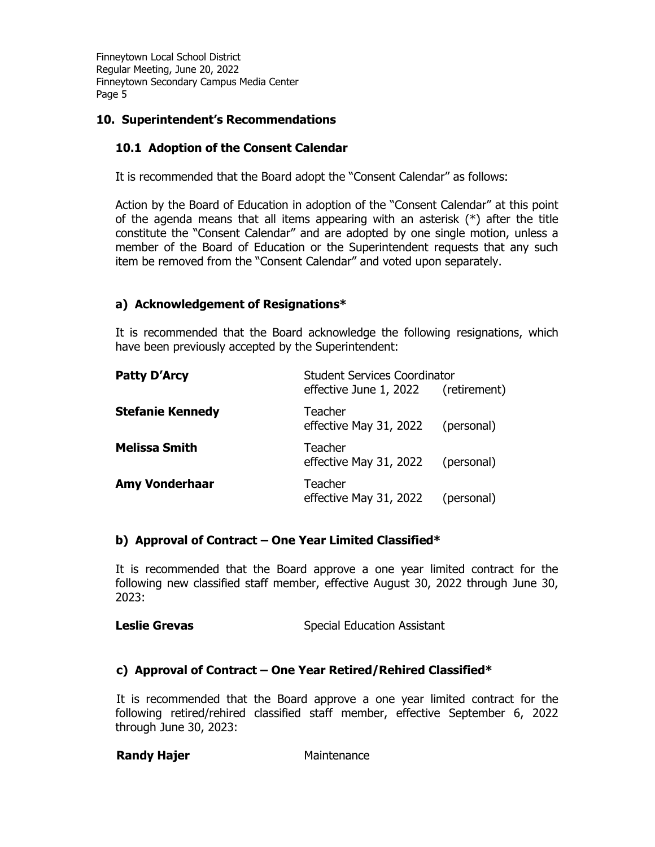## **10. Superintendent's Recommendations**

## **10.1 Adoption of the Consent Calendar**

It is recommended that the Board adopt the "Consent Calendar" as follows:

Action by the Board of Education in adoption of the "Consent Calendar" at this point of the agenda means that all items appearing with an asterisk  $(*)$  after the title constitute the "Consent Calendar" and are adopted by one single motion, unless a member of the Board of Education or the Superintendent requests that any such item be removed from the "Consent Calendar" and voted upon separately.

## **a) Acknowledgement of Resignations\***

It is recommended that the Board acknowledge the following resignations, which have been previously accepted by the Superintendent:

| <b>Patty D'Arcy</b>     | <b>Student Services Coordinator</b>          |            |  |
|-------------------------|----------------------------------------------|------------|--|
|                         | effective June 1, 2022 (retirement)          |            |  |
| <b>Stefanie Kennedy</b> | Teacher<br>effective May 31, 2022            | (personal) |  |
| <b>Melissa Smith</b>    | Teacher<br>effective May 31, 2022 (personal) |            |  |
| <b>Amy Vonderhaar</b>   | Teacher<br>effective May 31, 2022            | (personal) |  |

## **b) Approval of Contract – One Year Limited Classified\***

It is recommended that the Board approve a one year limited contract for the following new classified staff member, effective August 30, 2022 through June 30, 2023:

```
Leslie Grevas Special Education Assistant
```
## **c) Approval of Contract – One Year Retired/Rehired Classified\***

It is recommended that the Board approve a one year limited contract for the following retired/rehired classified staff member, effective September 6, 2022 through June 30, 2023:

**Randy Hajer** Maintenance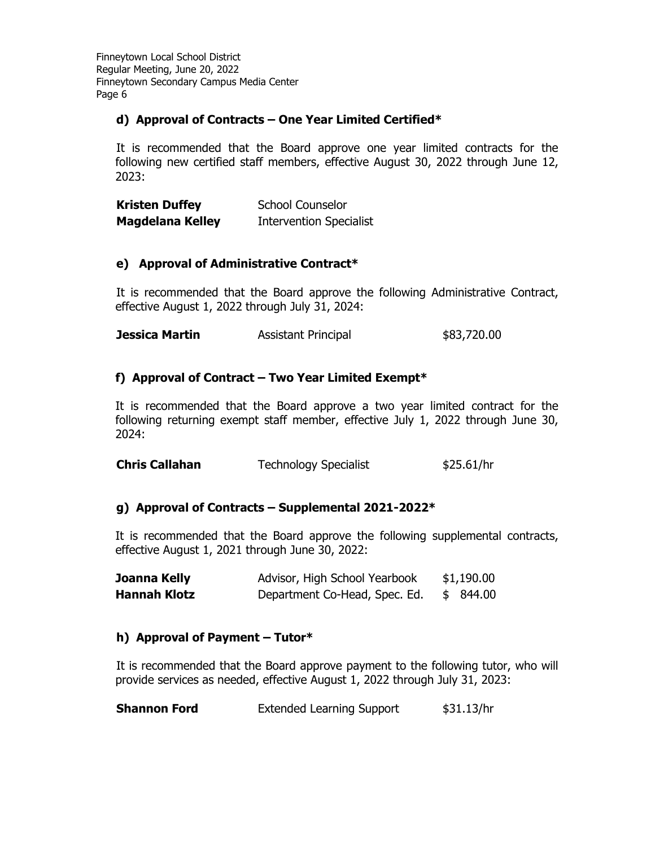## **d) Approval of Contracts – One Year Limited Certified\***

It is recommended that the Board approve one year limited contracts for the following new certified staff members, effective August 30, 2022 through June 12, 2023:

| <b>Kristen Duffey</b>   | <b>School Counselor</b>        |
|-------------------------|--------------------------------|
| <b>Magdelana Kelley</b> | <b>Intervention Specialist</b> |

# **e) Approval of Administrative Contract\***

It is recommended that the Board approve the following Administrative Contract, effective August 1, 2022 through July 31, 2024:

**Jessica Martin** Assistant Principal  $$83,720.00$ 

# **f) Approval of Contract – Two Year Limited Exempt\***

It is recommended that the Board approve a two year limited contract for the following returning exempt staff member, effective July 1, 2022 through June 30, 2024:

| <b>Chris Callahan</b> | <b>Technology Specialist</b> | \$25.61/hr |
|-----------------------|------------------------------|------------|
|-----------------------|------------------------------|------------|

## **g) Approval of Contracts – Supplemental 2021-2022\***

It is recommended that the Board approve the following supplemental contracts, effective August 1, 2021 through June 30, 2022:

| Joanna Kelly        | Advisor, High School Yearbook | \$1,190.00 |
|---------------------|-------------------------------|------------|
| <b>Hannah Klotz</b> | Department Co-Head, Spec. Ed. | \$ 844.00  |

## **h) Approval of Payment – Tutor\***

It is recommended that the Board approve payment to the following tutor, who will provide services as needed, effective August 1, 2022 through July 31, 2023:

| <b>Shannon Ford</b> | <b>Extended Learning Support</b> | \$31.13/hr |
|---------------------|----------------------------------|------------|
|---------------------|----------------------------------|------------|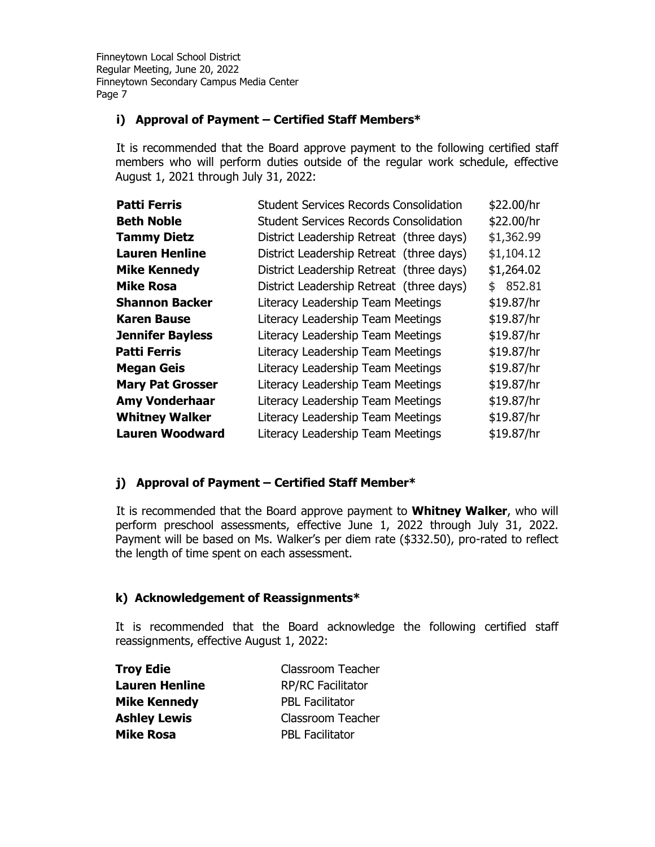# **i) Approval of Payment – Certified Staff Members\***

It is recommended that the Board approve payment to the following certified staff members who will perform duties outside of the regular work schedule, effective August 1, 2021 through July 31, 2022:

| <b>Patti Ferris</b>     | <b>Student Services Records Consolidation</b> | \$22.00/hr |
|-------------------------|-----------------------------------------------|------------|
| <b>Beth Noble</b>       | <b>Student Services Records Consolidation</b> | \$22.00/hr |
| <b>Tammy Dietz</b>      | District Leadership Retreat (three days)      | \$1,362.99 |
| <b>Lauren Henline</b>   | District Leadership Retreat (three days)      | \$1,104.12 |
| <b>Mike Kennedy</b>     | District Leadership Retreat (three days)      | \$1,264.02 |
| <b>Mike Rosa</b>        | District Leadership Retreat (three days)      | \$852.81   |
| <b>Shannon Backer</b>   | Literacy Leadership Team Meetings             | \$19.87/hr |
| <b>Karen Bause</b>      | Literacy Leadership Team Meetings             | \$19.87/hr |
| <b>Jennifer Bayless</b> | Literacy Leadership Team Meetings             | \$19.87/hr |
| Patti Ferris            | Literacy Leadership Team Meetings             | \$19.87/hr |
| <b>Megan Geis</b>       | Literacy Leadership Team Meetings             | \$19.87/hr |
| <b>Mary Pat Grosser</b> | Literacy Leadership Team Meetings             | \$19.87/hr |
| <b>Amy Vonderhaar</b>   | Literacy Leadership Team Meetings             | \$19.87/hr |
| <b>Whitney Walker</b>   | Literacy Leadership Team Meetings             | \$19.87/hr |
| <b>Lauren Woodward</b>  | Literacy Leadership Team Meetings             | \$19.87/hr |

# **j) Approval of Payment – Certified Staff Member\***

It is recommended that the Board approve payment to **Whitney Walker**, who will perform preschool assessments, effective June 1, 2022 through July 31, 2022. Payment will be based on Ms. Walker's per diem rate (\$332.50), pro-rated to reflect the length of time spent on each assessment.

## **k) Acknowledgement of Reassignments\***

It is recommended that the Board acknowledge the following certified staff reassignments, effective August 1, 2022:

| <b>Troy Edie</b>      | <b>Classroom Teacher</b> |
|-----------------------|--------------------------|
| <b>Lauren Henline</b> | <b>RP/RC Facilitator</b> |
| <b>Mike Kennedy</b>   | <b>PBL Facilitator</b>   |
| <b>Ashley Lewis</b>   | Classroom Teacher        |
| <b>Mike Rosa</b>      | <b>PBL Facilitator</b>   |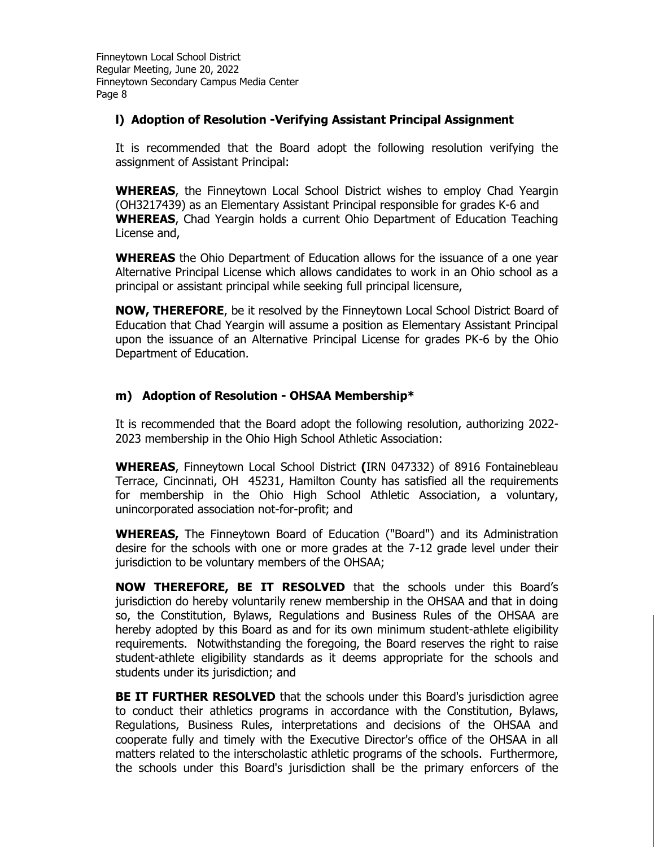#### **l) Adoption of Resolution -Verifying Assistant Principal Assignment**

It is recommended that the Board adopt the following resolution verifying the assignment of Assistant Principal:

**WHEREAS**, the Finneytown Local School District wishes to employ Chad Yeargin (OH3217439) as an Elementary Assistant Principal responsible for grades K-6 and **WHEREAS**, Chad Yeargin holds a current Ohio Department of Education Teaching License and,

**WHEREAS** the Ohio Department of Education allows for the issuance of a one year Alternative Principal License which allows candidates to work in an Ohio school as a principal or assistant principal while seeking full principal licensure,

**NOW, THEREFORE**, be it resolved by the Finneytown Local School District Board of Education that Chad Yeargin will assume a position as Elementary Assistant Principal upon the issuance of an Alternative Principal License for grades PK-6 by the Ohio Department of Education.

## **m) Adoption of Resolution - OHSAA Membership\***

It is recommended that the Board adopt the following resolution, authorizing 2022- 2023 membership in the Ohio High School Athletic Association:

**WHEREAS**, Finneytown Local School District **(**IRN 047332) of 8916 Fontainebleau Terrace, Cincinnati, OH 45231, Hamilton County has satisfied all the requirements for membership in the Ohio High School Athletic Association, a voluntary, unincorporated association not-for-profit; and

**WHEREAS,** The Finneytown Board of Education ("Board") and its Administration desire for the schools with one or more grades at the 7-12 grade level under their jurisdiction to be voluntary members of the OHSAA;

**NOW THEREFORE, BE IT RESOLVED** that the schools under this Board's jurisdiction do hereby voluntarily renew membership in the OHSAA and that in doing so, the Constitution, Bylaws, Regulations and Business Rules of the OHSAA are hereby adopted by this Board as and for its own minimum student-athlete eligibility requirements. Notwithstanding the foregoing, the Board reserves the right to raise student-athlete eligibility standards as it deems appropriate for the schools and students under its jurisdiction; and

**BE IT FURTHER RESOLVED** that the schools under this Board's jurisdiction agree to conduct their athletics programs in accordance with the Constitution, Bylaws, Regulations, Business Rules, interpretations and decisions of the OHSAA and cooperate fully and timely with the Executive Director's office of the OHSAA in all matters related to the interscholastic athletic programs of the schools. Furthermore, the schools under this Board's jurisdiction shall be the primary enforcers of the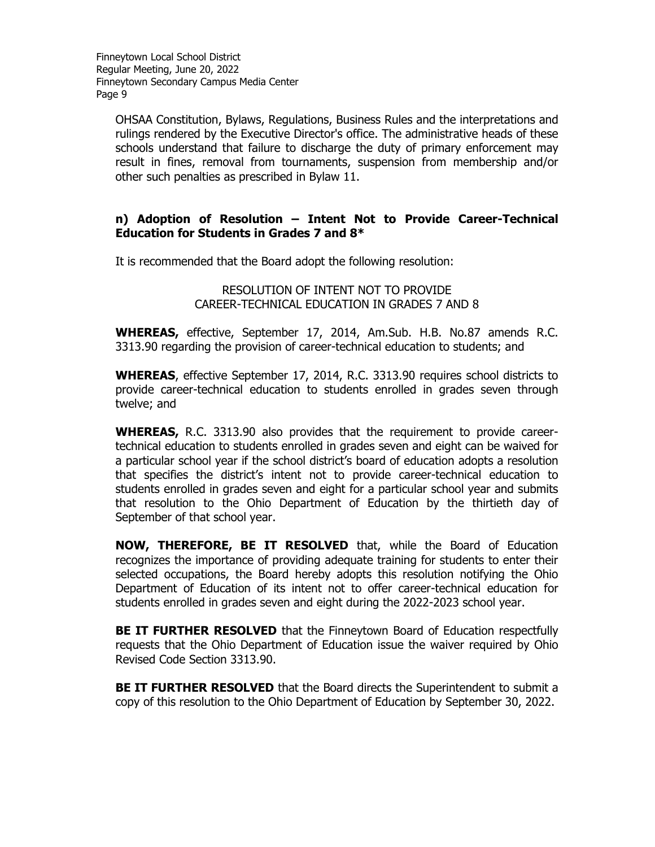OHSAA Constitution, Bylaws, Regulations, Business Rules and the interpretations and rulings rendered by the Executive Director's office. The administrative heads of these schools understand that failure to discharge the duty of primary enforcement may result in fines, removal from tournaments, suspension from membership and/or other such penalties as prescribed in Bylaw 11.

#### **n) Adoption of Resolution – Intent Not to Provide Career-Technical Education for Students in Grades 7 and 8\***

It is recommended that the Board adopt the following resolution:

RESOLUTION OF INTENT NOT TO PROVIDE CAREER-TECHNICAL EDUCATION IN GRADES 7 AND 8

**WHEREAS,** effective, September 17, 2014, Am.Sub. H.B. No.87 amends R.C. 3313.90 regarding the provision of career-technical education to students; and

**WHEREAS**, effective September 17, 2014, R.C. 3313.90 requires school districts to provide career-technical education to students enrolled in grades seven through twelve; and

**WHEREAS,** R.C. 3313.90 also provides that the requirement to provide careertechnical education to students enrolled in grades seven and eight can be waived for a particular school year if the school district's board of education adopts a resolution that specifies the district's intent not to provide career-technical education to students enrolled in grades seven and eight for a particular school year and submits that resolution to the Ohio Department of Education by the thirtieth day of September of that school year.

**NOW, THEREFORE, BE IT RESOLVED** that, while the Board of Education recognizes the importance of providing adequate training for students to enter their selected occupations, the Board hereby adopts this resolution notifying the Ohio Department of Education of its intent not to offer career-technical education for students enrolled in grades seven and eight during the 2022-2023 school year.

**BE IT FURTHER RESOLVED** that the Finneytown Board of Education respectfully requests that the Ohio Department of Education issue the waiver required by Ohio Revised Code Section 3313.90.

**BE IT FURTHER RESOLVED** that the Board directs the Superintendent to submit a copy of this resolution to the Ohio Department of Education by September 30, 2022.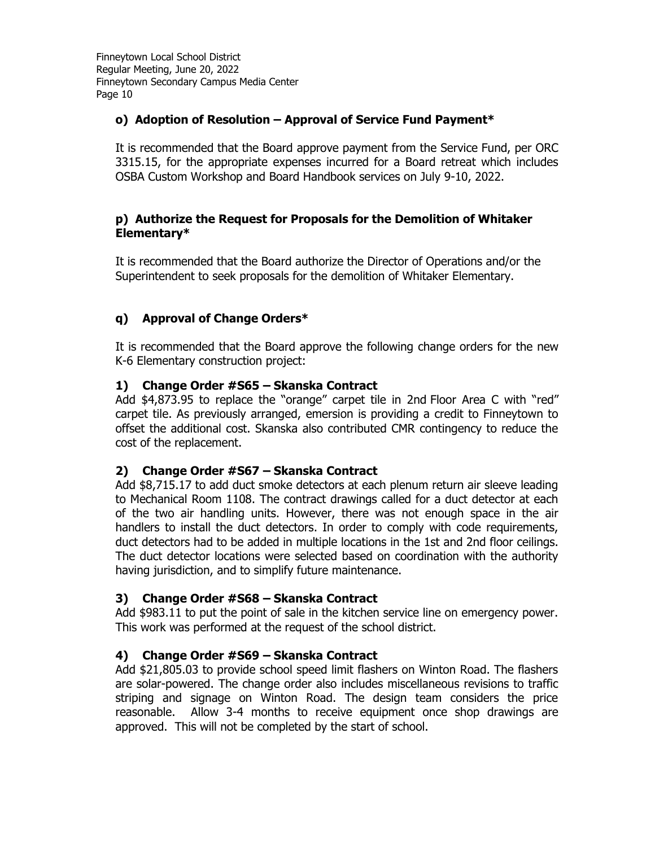## **o) Adoption of Resolution – Approval of Service Fund Payment\***

It is recommended that the Board approve payment from the Service Fund, per ORC 3315.15, for the appropriate expenses incurred for a Board retreat which includes OSBA Custom Workshop and Board Handbook services on July 9-10, 2022.

#### **p) Authorize the Request for Proposals for the Demolition of Whitaker Elementary\***

It is recommended that the Board authorize the Director of Operations and/or the Superintendent to seek proposals for the demolition of Whitaker Elementary.

# **q) Approval of Change Orders\***

It is recommended that the Board approve the following change orders for the new K-6 Elementary construction project:

## **1) Change Order #S65 – Skanska Contract**

Add \$4,873.95 to replace the "orange" carpet tile in 2nd Floor Area C with "red" carpet tile. As previously arranged, emersion is providing a credit to Finneytown to offset the additional cost. Skanska also contributed CMR contingency to reduce the cost of the replacement.

## **2) Change Order #S67 – Skanska Contract**

Add \$8,715.17 to add duct smoke detectors at each plenum return air sleeve leading to Mechanical Room 1108. The contract drawings called for a duct detector at each of the two air handling units. However, there was not enough space in the air handlers to install the duct detectors. In order to comply with code requirements, duct detectors had to be added in multiple locations in the 1st and 2nd floor ceilings. The duct detector locations were selected based on coordination with the authority having jurisdiction, and to simplify future maintenance.

## **3) Change Order #S68 – Skanska Contract**

Add \$983.11 to put the point of sale in the kitchen service line on emergency power. This work was performed at the request of the school district.

## **4) Change Order #S69 – Skanska Contract**

Add \$21,805.03 to provide school speed limit flashers on Winton Road. The flashers are solar-powered. The change order also includes miscellaneous revisions to traffic striping and signage on Winton Road. The design team considers the price reasonable. Allow 3-4 months to receive equipment once shop drawings are approved. This will not be completed by the start of school.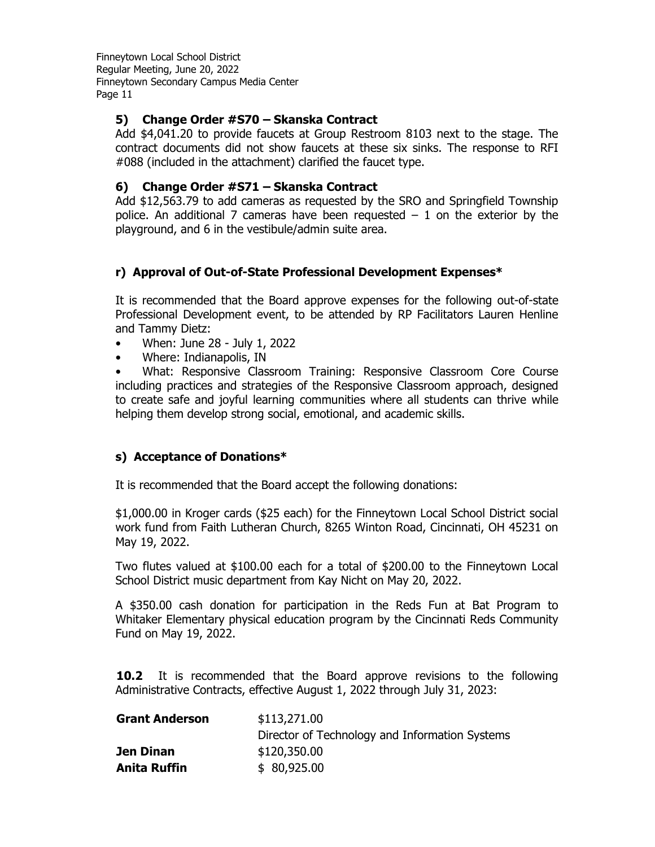## **5) Change Order #S70 – Skanska Contract**

Add \$4,041.20 to provide faucets at Group Restroom 8103 next to the stage. The contract documents did not show faucets at these six sinks. The response to RFI #088 (included in the attachment) clarified the faucet type.

# **6) Change Order #S71 – Skanska Contract**

Add \$12,563.79 to add cameras as requested by the SRO and Springfield Township police. An additional 7 cameras have been requested  $-1$  on the exterior by the playground, and 6 in the vestibule/admin suite area.

# **r) Approval of Out-of-State Professional Development Expenses\***

It is recommended that the Board approve expenses for the following out-of-state Professional Development event, to be attended by RP Facilitators Lauren Henline and Tammy Dietz:

- When: June 28 July 1, 2022
- Where: Indianapolis, IN

• What: Responsive Classroom Training: Responsive Classroom Core Course including practices and strategies of the Responsive Classroom approach, designed to create safe and joyful learning communities where all students can thrive while helping them develop strong social, emotional, and academic skills.

## **s) Acceptance of Donations\***

It is recommended that the Board accept the following donations:

\$1,000.00 in Kroger cards (\$25 each) for the Finneytown Local School District social work fund from Faith Lutheran Church, 8265 Winton Road, Cincinnati, OH 45231 on May 19, 2022.

Two flutes valued at \$100.00 each for a total of \$200.00 to the Finneytown Local School District music department from Kay Nicht on May 20, 2022.

A \$350.00 cash donation for participation in the Reds Fun at Bat Program to Whitaker Elementary physical education program by the Cincinnati Reds Community Fund on May 19, 2022.

**10.2** It is recommended that the Board approve revisions to the following Administrative Contracts, effective August 1, 2022 through July 31, 2023:

| <b>Grant Anderson</b> | \$113,271.00                                   |
|-----------------------|------------------------------------------------|
|                       | Director of Technology and Information Systems |
| Jen Dinan             | \$120,350.00                                   |
| <b>Anita Ruffin</b>   | \$80,925.00                                    |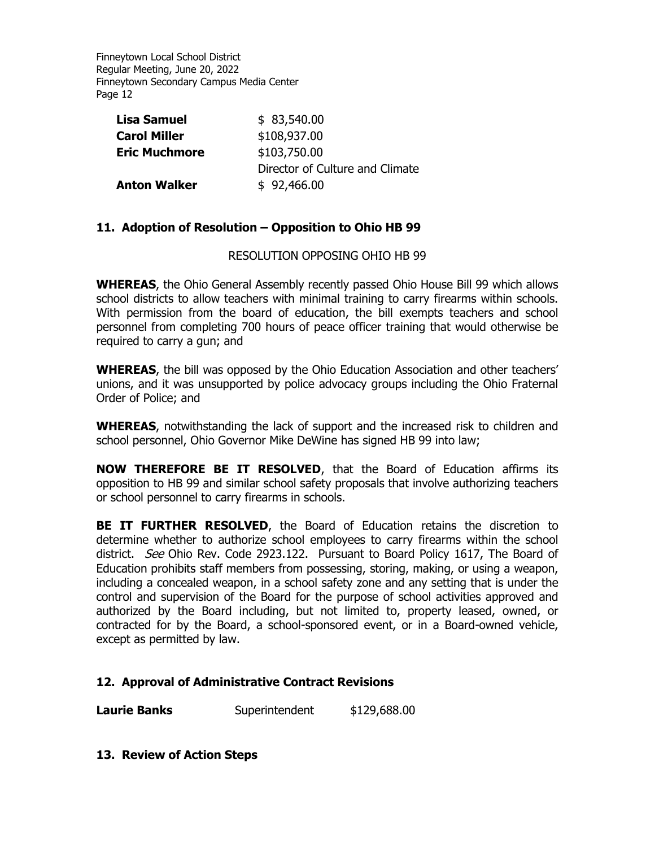| <b>Lisa Samuel</b>   | \$83,540.00                     |
|----------------------|---------------------------------|
| <b>Carol Miller</b>  | \$108,937.00                    |
| <b>Eric Muchmore</b> | \$103,750.00                    |
|                      | Director of Culture and Climate |
| <b>Anton Walker</b>  | \$92,466.00                     |

#### **11. Adoption of Resolution – Opposition to Ohio HB 99**

RESOLUTION OPPOSING OHIO HB 99

**WHEREAS**, the Ohio General Assembly recently passed Ohio House Bill 99 which allows school districts to allow teachers with minimal training to carry firearms within schools. With permission from the board of education, the bill exempts teachers and school personnel from completing 700 hours of peace officer training that would otherwise be required to carry a gun; and

**WHEREAS**, the bill was opposed by the Ohio Education Association and other teachers' unions, and it was unsupported by police advocacy groups including the Ohio Fraternal Order of Police; and

**WHEREAS**, notwithstanding the lack of support and the increased risk to children and school personnel, Ohio Governor Mike DeWine has signed HB 99 into law;

**NOW THEREFORE BE IT RESOLVED**, that the Board of Education affirms its opposition to HB 99 and similar school safety proposals that involve authorizing teachers or school personnel to carry firearms in schools.

**BE IT FURTHER RESOLVED**, the Board of Education retains the discretion to determine whether to authorize school employees to carry firearms within the school district. *See* Ohio Rev. Code 2923.122. Pursuant to Board Policy 1617, The Board of Education prohibits staff members from possessing, storing, making, or using a weapon, including a concealed weapon, in a school safety zone and any setting that is under the control and supervision of the Board for the purpose of school activities approved and authorized by the Board including, but not limited to, property leased, owned, or contracted for by the Board, a school-sponsored event, or in a Board-owned vehicle, except as permitted by law.

#### **12. Approval of Administrative Contract Revisions**

**Laurie Banks** Superintendent \$129,688.00

**13. Review of Action Steps**